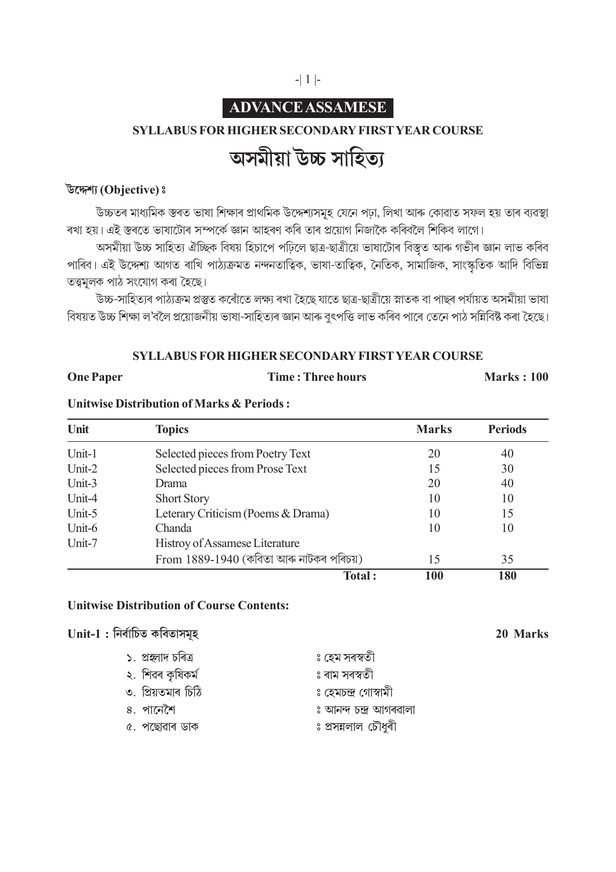#### -| 1 |-

## **ADVANCE ASSAMESE**

#### **SYLLABUS FOR HIGHER SECONDARY FIRST YEAR COURSE**

# অসমীয়া উচ্চ সাহিত্য

#### **Î◊¬ÀV˙… (Objective) –**

ঁউচ্চতৰ মাধ্যমিক স্তৰত ভাষা শিক্ষাৰ প্ৰাথমিক উদ্দেশ্যসমূহ যেনে পঢ়া, লিখা আৰু কোৱাত সফল হয় তাৰ ব্যৱস্থা ৰখা হয়। এই স্তৰতে ভাষাটোৰ সম্পৰ্কে জ্ঞান আহৰণ কৰি তাৰ প্ৰয়োগ নিজাকৈ কৰিবলৈ শিকিব লাগে।

আসমীয়া উচ্চ সাহিত্য ঐচ্ছিক বিষয় হিচাপে পঢ়িলে ছাত্ৰ-ছাত্ৰীয়ে ভাষাটোৰ বিস্তৃত আৰু গভীৰ জ্ঞান লাভ কৰিব পাৰিব। এই উদ্দেশ্য আগত ৰাখি পাঠ্যক্ৰমত নন্দনতাত্বিক, ভাষা-তাত্বিক, নৈতিক, সামাজিক, সাংস্কৃতিক আদি বিভিন্ন তত্ত্বমূলক পাঠ সংযোগ কৰা হৈছে।

ঁউচ্চ-সাহিত্যৰ পাঠ্যক্ৰম প্ৰস্তুত কৰোঁতে লক্ষ্য ৰখা হৈছে যাতে ছাত্ৰ-ছাত্ৰীয়ে স্নাতক বা পাছৰ পৰ্যায়ত অসমীয়া ভাষা বিষয়ত উচ্চ শিক্ষা ল'বলৈ প্ৰয়োজনীয় ভাষা-সাহিত্যৰ জ্ঞান আৰু বৃৎপত্তি লাভ কৰিব পাৰে তেনে পাঠ সন্নিবিষ্ট কৰা হৈছে।

#### **SYLLABUS FOR HIGHER SECONDARY FIRST YEAR COURSE**

**One Paper Time : Three hours Marks : 100** 

### **Unitwise Distribution of Marks & Periods :**

| Unit   | <b>Topics</b>                             | <b>Marks</b> | <b>Periods</b> |
|--------|-------------------------------------------|--------------|----------------|
| Unit-1 | Selected pieces from Poetry Text          | 20           | 40             |
| Unit-2 | Selected pieces from Prose Text           | 15           | 30             |
| Unit-3 | Drama                                     | 20           | 40             |
| Unit-4 | <b>Short Story</b>                        | 10           | 10             |
| Unit-5 | Leterary Criticism (Poems & Drama)        | 10           | 15             |
| Unit-6 | Chanda                                    | 10           | 10             |
| Unit-7 | Histroy of Assamese Literature            |              |                |
|        | From $1889-1940$ (কবিতা আৰু নাটকৰ পৰিচয়) | 15           | 35             |
|        | <b>Total:</b>                             | 100          | 180            |

#### **Unitwise Distribution of Course Contents:**

| Unit-1 : নিৰ্বাচিত কবিতাসমূহ | 20 Marks               |  |
|------------------------------|------------------------|--|
| ১. প্ৰহ্লাদ চৰিত্ৰ           | ঃ হেম সৰস্বতী          |  |
| ২. শিৱৰ কৃষিকৰ্ম             | ঃ ৰাম সৰস্বতী          |  |
| ৩. প্ৰিয়তমাৰ চিঠি           | ঃ হেমচন্দ্ৰ গোস্বামী   |  |
| ৪. পানেশৈ                    | ঃ আনন্দ চন্দ্ৰ আগৰৱালা |  |
| ৫. পছোৱাৰ ডাক                | ঃ প্ৰসন্নলাল চৌধুৰী    |  |